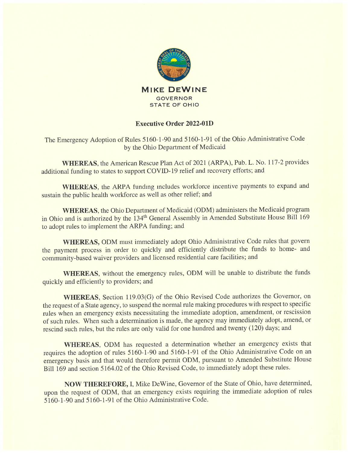

## Executive Order 2022-OlD

The Emergency Adoption of Rules 5160-1-90 and 5160-1-91 of the Ohio Administrative Code by the Ohio Department of Medicaid

WHEREAS, the American Rescue Plan Act of 2021 (ARPA), Pub. L. No. 117-2 provides additional funding to states to support COVID-19 relief and recovery efforts; and

WHEREAS, the ARPA funding includes workforce incentive payments to expand and sustain the public health workforce as well as other relief; and

WhEREAS, the Ohio Department of Medicaid (0DM) administers the Medicaid program in Ohio and is authorized by the 134<sup>th</sup> General Assembly in Amended Substitute House Bill 169 to adopt rules to implement the ARPA funding; and

WHEREAS, 0DM must immediately adopt Ohio Administrative Code rules that govern the payment process in order to quickly and efficiently distribute the funds to home- and community-based waiver providers and licensed residential care facilities; and

WHEREAS, without the emergency rules, 0DM will be unable to distribute the funds quickly and efficiently to providers; and

WHEREAS, Section 119.03(G) of the Ohio Revised Code authorizes the Governor, on the request of a State agency, to suspend the normal rule making procedures with respect to specific rules when an emergency exists necessitating the immediate adoption, amendment, or rescission of such rules. When such a determination is made, the agency may immediately adopt, amend, or rescind such rules, but the rules are only valid for one hundred and twenty (120) days; and

WHEREAS, ODM has requested a determination whether an emergency exists that requires the adoption of rules 5160-1-90 and 5160-1-91 of the Ohio Administrative Code on an emergency basis and that would therefore permit ODM, pursuant to Amended Substitute House Bill 169 and section 5164.02 of the Ohio Revised Code, to immediately adopt these rules.

NOW THEREFORE, I, Mike DeWine, Governor of the State of Ohio, have determined, upon the request of 0DM, that an emergency exists requiring the immediate adoption of rules <sup>5</sup> 160-1-90 and 5160-1-91 of the Ohio Administrative Code.